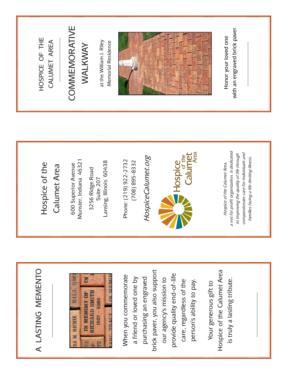